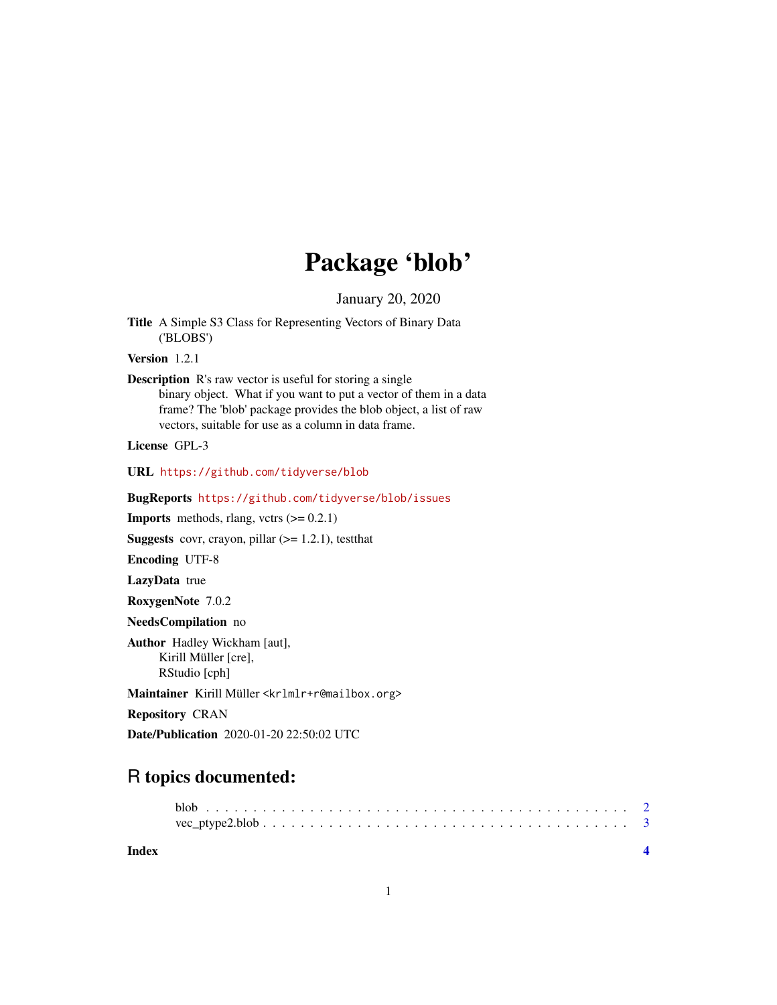## Package 'blob'

January 20, 2020

<span id="page-0-0"></span>Title A Simple S3 Class for Representing Vectors of Binary Data ('BLOBS')

Version 1.2.1

Description R's raw vector is useful for storing a single binary object. What if you want to put a vector of them in a data frame? The 'blob' package provides the blob object, a list of raw vectors, suitable for use as a column in data frame.

License GPL-3

URL <https://github.com/tidyverse/blob>

BugReports <https://github.com/tidyverse/blob/issues>

**Imports** methods, rlang, vctrs  $(>= 0.2.1)$ 

**Suggests** covr, crayon, pillar  $(>= 1.2.1)$ , testthat

Encoding UTF-8

LazyData true

RoxygenNote 7.0.2

NeedsCompilation no

Author Hadley Wickham [aut], Kirill Müller [cre], RStudio [cph]

Maintainer Kirill Müller <krlmlr+r@mailbox.org>

Repository CRAN

Date/Publication 2020-01-20 22:50:02 UTC

### R topics documented:

**Index** [4](#page-3-0)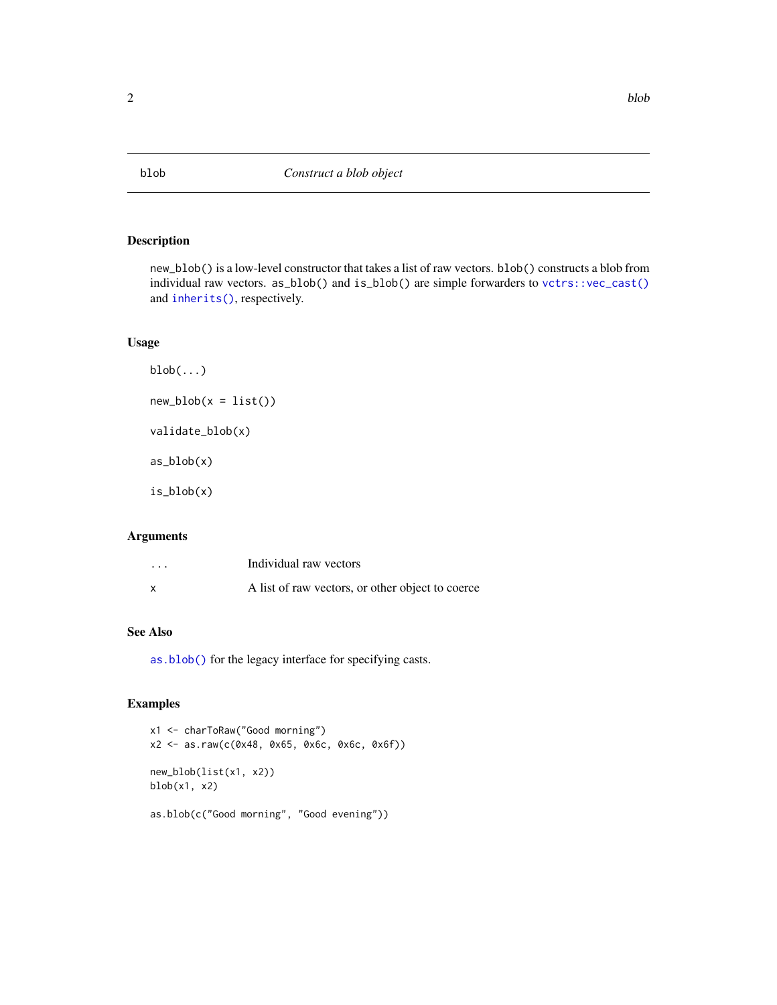#### <span id="page-1-0"></span>Description

new\_blob() is a low-level constructor that takes a list of raw vectors. blob() constructs a blob from individual raw vectors. as\_blob() and is\_blob() are simple forwarders to [vctrs::vec\\_cast\(\)](#page-0-0) and [inherits\(\)](#page-0-0), respectively.

#### Usage

```
blob(...)new\_blob(x = list())validate_blob(x)
as_blob(x)
is_blob(x)
```
#### Arguments

| $\cdots$ | Individual raw vectors                           |
|----------|--------------------------------------------------|
|          | A list of raw vectors, or other object to coerce |

#### See Also

[as.blob\(\)](#page-0-0) for the legacy interface for specifying casts.

#### Examples

```
x1 <- charToRaw("Good morning")
x2 <- as.raw(c(0x48, 0x65, 0x6c, 0x6c, 0x6f))
new_blob(list(x1, x2))
blob(x1, x2)as.blob(c("Good morning", "Good evening"))
```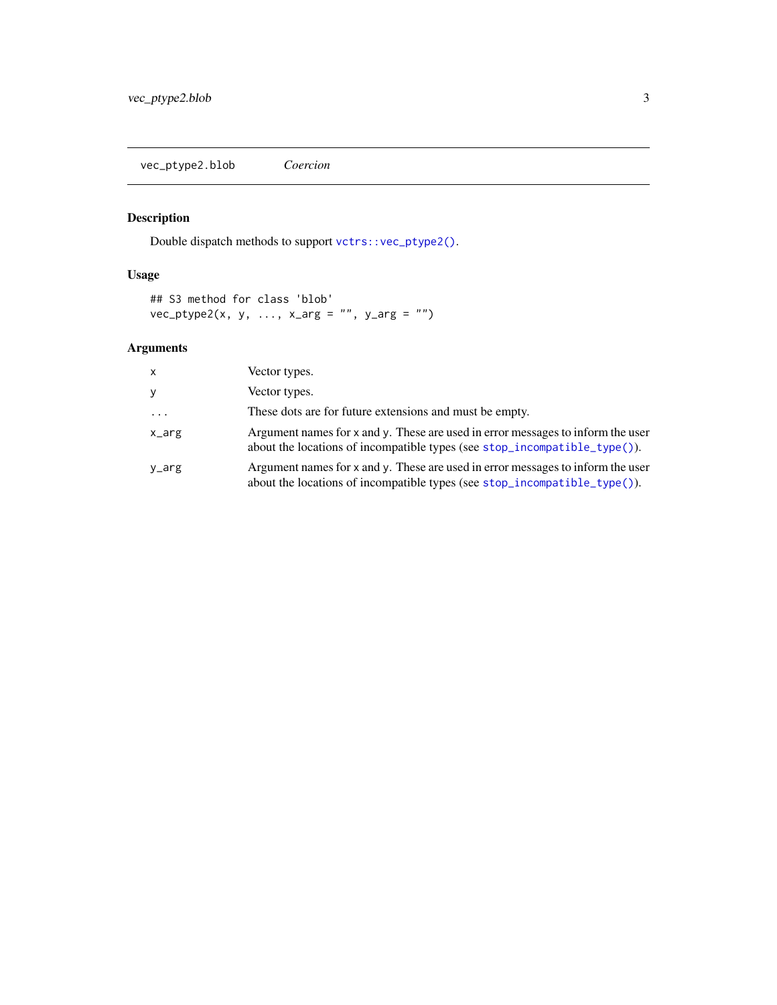<span id="page-2-0"></span>vec\_ptype2.blob *Coercion*

#### Description

Double dispatch methods to support [vctrs::vec\\_ptype2\(\)](#page-0-0).

#### Usage

```
## S3 method for class 'blob'
vec_ptype2(x, y, ..., x_{\text{arg}} = "", y_{\text{arg}} = "")
```
#### Arguments

| x       | Vector types.                                                                                                                                                          |
|---------|------------------------------------------------------------------------------------------------------------------------------------------------------------------------|
| y       | Vector types.                                                                                                                                                          |
| $\cdot$ | These dots are for future extensions and must be empty.                                                                                                                |
| x_arg   | Argument names for $x$ and $y$ . These are used in error messages to inform the user<br>about the locations of incompatible types (see $stop\_incompatible\_type()$ ). |
| y_arg   | Argument names for x and y. These are used in error messages to inform the user<br>about the locations of incompatible types (see stop_incompatible_type()).           |